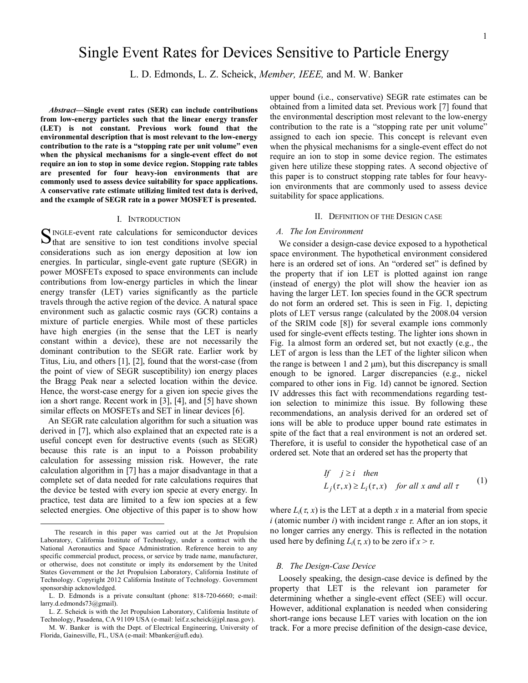# Single Event Rates for Devices Sensitive to Particle Energy

L. D. Edmonds, L. Z. Scheick, *Member, IEEE,* and M. W. Banker

*Abstract***—Single event rates (SER) can include contributions from low-energy particles such that the linear energy transfer (LET) is not constant. Previous work found that the environmental description that is most relevant to the low-energy contribution to the rate is a "stopping rate per unit volume" even when the physical mechanisms for a single-event effect do not require an ion to stop in some device region. Stopping rate tables are presented for four heavy-ion environments that are commonly used to assess device suitability for space applications. A conservative rate estimate utilizing limited test data is derived, and the example of SEGR rate in a power MOSFET is presented.**

#### I. INTRODUCTION

INGLE-event rate calculations for semiconductor devices SINGLE-event rate calculations for semiconductor devices that are sensitive to ion test conditions involve special considerations such as ion energy deposition at low ion energies. In particular, single-event gate rupture (SEGR) in power MOSFETs exposed to space environments can include contributions from low-energy particles in which the linear energy transfer (LET) varies significantly as the particle travels through the active region of the device. A natural space environment such as galactic cosmic rays (GCR) contains a mixture of particle energies. While most of these particles have high energies (in the sense that the LET is nearly constant within a device), these are not necessarily the dominant contribution to the SEGR rate. Earlier work by Titus, Liu, and others [1], [2], found that the worst-case (from the point of view of SEGR susceptibility) ion energy places the Bragg Peak near a selected location within the device. Hence, the worst-case energy for a given ion specie gives the ion a short range. Recent work in [3], [4], and [5] have shown similar effects on MOSFETs and SET in linear devices [6].

An SEGR rate calculation algorithm for such a situation was derived in [7], which also explained that an expected rate is a useful concept even for destructive events (such as SEGR) because this rate is an input to a Poisson probability calculation for assessing mission risk. However, the rate calculation algorithm in [7] has a major disadvantage in that a complete set of data needed for rate calculations requires that the device be tested with every ion specie at every energy. In practice, test data are limited to a few ion species at a few selected energies. One objective of this paper is to show how

-

upper bound (i.e., conservative) SEGR rate estimates can be obtained from a limited data set. Previous work [7] found that the environmental description most relevant to the low-energy contribution to the rate is a "stopping rate per unit volume" assigned to each ion specie. This concept is relevant even when the physical mechanisms for a single-event effect do not require an ion to stop in some device region. The estimates given here utilize these stopping rates. A second objective of this paper is to construct stopping rate tables for four heavyion environments that are commonly used to assess device suitability for space applications.

## II. DEFINITION OF THE DESIGN CASE

## *A. The Ion Environment*

We consider a design-case device exposed to a hypothetical space environment. The hypothetical environment considered here is an ordered set of ions. An "ordered set" is defined by the property that if ion LET is plotted against ion range (instead of energy) the plot will show the heavier ion as having the larger LET. Ion species found in the GCR spectrum do not form an ordered set. This is seen in Fig. 1, depicting plots of LET versus range (calculated by the 2008.04 version of the SRIM code [8]) for several example ions commonly used for single-event effects testing. The lighter ions shown in Fig. 1a almost form an ordered set, but not exactly (e.g., the LET of argon is less than the LET of the lighter silicon when the range is between 1 and 2  $\mu$ m), but this discrepancy is small enough to be ignored. Larger discrepancies (e.g., nickel compared to other ions in Fig. 1d) cannot be ignored. Section IV addresses this fact with recommendations regarding testion selection to minimize this issue. By following these recommendations, an analysis derived for an ordered set of ions will be able to produce upper bound rate estimates in spite of the fact that a real environment is not an ordered set. Therefore, it is useful to consider the hypothetical case of an ordered set. Note that an ordered set has the property that

If 
$$
j \ge i
$$
 then  
\n $L_j(\tau, x) \ge L_i(\tau, x)$  for all x and all  $\tau$  (1)

where  $L_i(\tau, x)$  is the LET at a depth x in a material from specie *i* (atomic number *i*) with incident range τ. After an ion stops, it no longer carries any energy. This is reflected in the notation used here by defining  $L_i(\tau, x)$  to be zero if  $x > \tau$ .

#### *B. The Design-Case Device*

Loosely speaking, the design-case device is defined by the property that LET is the relevant ion parameter for determining whether a single-event effect (SEE) will occur. However, additional explanation is needed when considering short-range ions because LET varies with location on the ion track. For a more precise definition of the design-case device,

The research in this paper was carried out at the Jet Propulsion Laboratory, California Institute of Technology, under a contract with the National Aeronautics and Space Administration. Reference herein to any specific commercial product, process, or service by trade name, manufacturer, or otherwise, does not constitute or imply its endorsement by the United States Government or the Jet Propulsion Laboratory, California Institute of Technology. Copyright 2012 California Institute of Technology. Government sponsorship acknowledged.

L. D. Edmonds is a private consultant (phone: 818-720-6660; e-mail: larry.d.edmonds73@gmail).

L. Z. Scheick is with the Jet Propulsion Laboratory, California Institute of Technology, Pasadena, CA 91109 USA (e-mail: leif.z.scheick@jpl.nasa.gov).

M. W. Banker is with the Dept. of Electrical Engineering, University of Florida, Gainesville, FL, USA (e-mail: Mbanker@ufl.edu).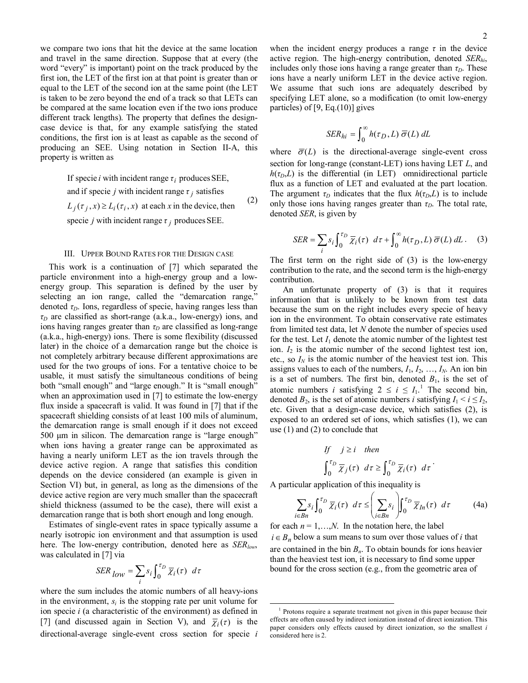we compare two ions that hit the device at the same location and travel in the same direction. Suppose that at every (the word "every" is important) point on the track produced by the first ion, the LET of the first ion at that point is greater than or equal to the LET of the second ion at the same point (the LET is taken to be zero beyond the end of a track so that LETs can be compared at the same location even if the two ions produce different track lengths). The property that defines the designcase device is that, for any example satisfying the stated conditions, the first ion is at least as capable as the second of producing an SEE. Using notation in Section II-A, this property is written as

> specie *j* with incident range  $\tau_j$  produces SEE.  $L_j(\tau_j, x) \ge L_i(\tau_i, x)$  at each x in the device, then (2) and if specie *j* with incident range  $\tau_j$  satisfies If specie *i* with incident range  $\tau_i$  produces SEE,

#### III. UPPER BOUND RATES FOR THE DESIGN CASE

 This work is a continuation of [7] which separated the particle environment into a high-energy group and a lowenergy group. This separation is defined by the user by selecting an ion range, called the "demarcation range," denoted  $\tau_D$ . Ions, regardless of specie, having ranges less than *τD* are classified as short-range (a.k.a., low-energy) ions, and ions having ranges greater than  $\tau_D$  are classified as long-range (a.k.a., high-energy) ions. There is some flexibility (discussed later) in the choice of a demarcation range but the choice is not completely arbitrary because different approximations are used for the two groups of ions. For a tentative choice to be usable, it must satisfy the simultaneous conditions of being both "small enough" and "large enough." It is "small enough" when an approximation used in [7] to estimate the low-energy flux inside a spacecraft is valid. It was found in [7] that if the spacecraft shielding consists of at least 100 mils of aluminum, the demarcation range is small enough if it does not exceed 500 μm in silicon. The demarcation range is "large enough" when ions having a greater range can be approximated as having a nearly uniform LET as the ion travels through the device active region. A range that satisfies this condition depends on the device considered (an example is given in Section VI) but, in general, as long as the dimensions of the device active region are very much smaller than the spacecraft shield thickness (assumed to be the case), there will exist a demarcation range that is both short enough and long enough.

 Estimates of single-event rates in space typically assume a nearly isotropic ion environment and that assumption is used here. The low-energy contribution, denoted here as *SER<sub>low*</sub>, was calculated in [7] via

$$
SER_{low} = \sum_{i} s_i \int_0^{\tau_D} \overline{\chi}_i(\tau) d\tau
$$

<span id="page-1-0"></span>where the sum includes the atomic numbers of all heavy-ions in the environment,  $s_i$  is the stopping rate per unit volume for ion specie *i* (a characteristic of the environment) as defined in [7] (and discussed again in Section V), and  $\overline{\chi}_i(\tau)$  is the directional-average single-event cross section for specie *i* when the incident energy produces a range  $\tau$  in the device active region. The high-energy contribution, denoted *SERhi*, includes only those ions having a range greater than  $\tau_D$ . These ions have a nearly uniform LET in the device active region. We assume that such ions are adequately described by specifying LET alone, so a modification (to omit low-energy

$$
SER_{hi}=\int_0^\infty h(\tau_D,L)\ \overline{\sigma}(L)\ dL
$$

particles) of  $[9, Eq.(10)]$  gives

where  $\overline{\sigma}(L)$  is the directional-average single-event cross section for long-range (constant-LET) ions having LET *L*, and  $h(\tau_D, L)$  is the differential (in LET) omnidirectional particle flux as a function of LET and evaluated at the part location. The argument  $\tau_D$  indicates that the flux  $h(\tau_D, L)$  is to include only those ions having ranges greater than  $\tau_D$ . The total rate, denoted *SER*, is given by

$$
SER = \sum_{i} s_i \int_0^{\tau_D} \overline{\chi}_i(\tau) \ d\tau + \int_0^{\infty} h(\tau_D, L) \ \overline{\sigma}(L) \ dL \ . \tag{3}
$$

The first term on the right side of (3) is the low-energy contribution to the rate, and the second term is the high-energy contribution.

 An unfortunate property of (3) is that it requires information that is unlikely to be known from test data because the sum on the right includes every specie of heavy ion in the environment. To obtain conservative rate estimates from limited test data, let *N* denote the number of species used for the test. Let  $I_1$  denote the atomic number of the lightest test ion. *I*<sup>2</sup> is the atomic number of the second lightest test ion, etc., so  $I_N$  is the atomic number of the heaviest test ion. This assigns values to each of the numbers,  $I_1, I_2, \ldots, I_N$ . An ion bin is a set of numbers. The first bin, denoted  $B_1$ , is the set of atomic numbers *i* satisfying  $2 \le i \le I_1$  $2 \le i \le I_1$ .<sup>1</sup> The second bin, denoted  $B_2$ , is the set of atomic numbers *i* satisfying  $I_1 \le i \le I_2$ , etc. Given that a design-case device, which satisfies (2), is exposed to an ordered set of ions, which satisfies (1), we can use (1) and (2) to conclude that

If 
$$
j \ge i
$$
 then  
\n
$$
\int_0^{\tau_D} \overline{\chi}_j(\tau) d\tau \ge \int_0^{\tau_D} \overline{\chi}_i(\tau) d\tau
$$

A particular application of this inequality is

 $\overline{a}$ 

$$
\sum_{i \in Bn} s_i \int_0^{\tau_D} \overline{\chi}_i(\tau) \ d\tau \leq \left( \sum_{i \in Bn} s_i \right) \int_0^{\tau_D} \overline{\chi}_{In}(\tau) \ d\tau \tag{4a}
$$

for each  $n = 1, \ldots, N$ . In the notation here, the label  $i \in B_n$  below a sum means to sum over those values of *i* that are contained in the bin  $B_n$ . To obtain bounds for ions heavier than the heaviest test ion, it is necessary to find some upper bound for the cross section (e.g., from the geometric area of

<sup>&</sup>lt;sup>1</sup> Protons require a separate treatment not given in this paper because their effects are often caused by indirect ionization instead of direct ionization. This paper considers only effects caused by direct ionization, so the smallest *i* considered here is 2.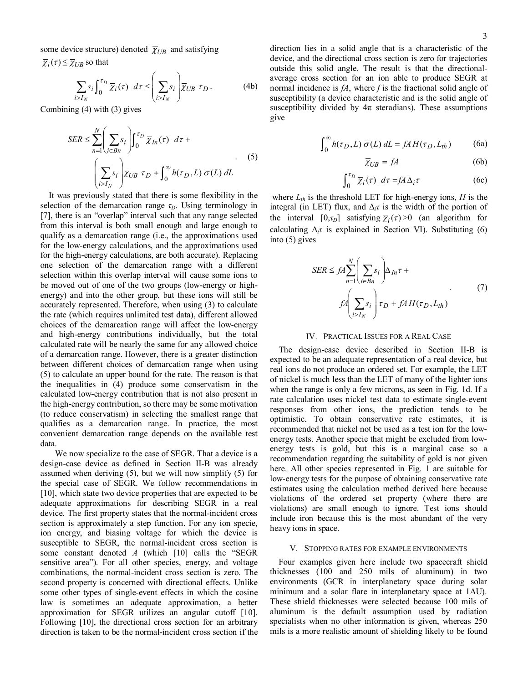some device structure) denoted  $\bar{\chi}_{UB}$  and satisfying

 $\overline{\chi}_i(\tau) \leq \overline{\chi}_{UB}$  so that

*Ii*

$$
\sum_{>I_N} s_i \int_0^{\tau_D} \overline{\chi}_i(\tau) \ d\tau \leq \left(\sum_{i>I_N} s_i\right) \overline{\chi}_{UB} \ \tau_D. \tag{4b}
$$

Combining (4) with (3) gives

$$
SER \leq \sum_{n=1}^{N} \left(\sum_{i \in Bn} s_i\right) \int_0^{\tau_D} \overline{\chi}_{In}(\tau) d\tau +
$$
  

$$
\left(\sum_{i > I_N} s_i\right) \overline{\chi}_{UB} \tau_D + \int_0^{\infty} h(\tau_D, L) \overline{\sigma}(L) dL
$$
 (5)

 It was previously stated that there is some flexibility in the selection of the demarcation range  $\tau_D$ . Using terminology in [7], there is an "overlap" interval such that any range selected from this interval is both small enough and large enough to qualify as a demarcation range (i.e., the approximations used for the low-energy calculations, and the approximations used for the high-energy calculations, are both accurate). Replacing one selection of the demarcation range with a different selection within this overlap interval will cause some ions to be moved out of one of the two groups (low-energy or highenergy) and into the other group, but these ions will still be accurately represented. Therefore, when using (3) to calculate the rate (which requires unlimited test data), different allowed choices of the demarcation range will affect the low-energy and high-energy contributions individually, but the total calculated rate will be nearly the same for any allowed choice of a demarcation range. However, there is a greater distinction between different choices of demarcation range when using (5) to calculate an upper bound for the rate. The reason is that the inequalities in (4) produce some conservatism in the calculated low-energy contribution that is not also present in the high-energy contribution, so there may be some motivation (to reduce conservatism) in selecting the smallest range that qualifies as a demarcation range. In practice, the most convenient demarcation range depends on the available test data.

 We now specialize to the case of SEGR. That a device is a design-case device as defined in Section II-B was already assumed when deriving (5), but we will now simplify (5) for the special case of SEGR. We follow recommendations in [10], which state two device properties that are expected to be adequate approximations for describing SEGR in a real device. The first property states that the normal-incident cross section is approximately a step function. For any ion specie, ion energy, and biasing voltage for which the device is susceptible to SEGR, the normal-incident cross section is some constant denoted *A* (which [10] calls the "SEGR sensitive area"). For all other species, energy, and voltage combinations, the normal-incident cross section is zero. The second property is concerned with directional effects. Unlike some other types of single-event effects in which the cosine law is sometimes an adequate approximation, a better approximation for SEGR utilizes an angular cutoff [10]. Following [10], the directional cross section for an arbitrary direction is taken to be the normal-incident cross section if the direction lies in a solid angle that is a characteristic of the device, and the directional cross section is zero for trajectories outside this solid angle. The result is that the directionalaverage cross section for an ion able to produce SEGR at normal incidence is *fA*, where *f* is the fractional solid angle of susceptibility (a device characteristic and is the solid angle of susceptibility divided by  $4\pi$  steradians). These assumptions give

$$
\int_0^\infty h(\tau_D, L) \, \overline{\sigma}(L) \, dL = f A H(\tau_D, L_{th}) \tag{6a}
$$

$$
\overline{\chi}_{UB} = fA \tag{6b}
$$

$$
\int_0^{\tau_D} \overline{\chi}_i(\tau) \ d\tau = f A \Delta_i \tau \tag{6c}
$$

where  $L_{th}$  is the threshold LET for high-energy ions, *H* is the integral (in LET) flux, and  $\Delta_i \tau$  is the width of the portion of the interval  $[0, \tau_D]$  satisfying  $\overline{\chi}_i(\tau) > 0$  (an algorithm for calculating  $\Delta_i \tau$  is explained in Section VI). Substituting (6) into (5) gives

$$
SER \le fA \sum_{n=1}^{N} \left( \sum_{i \in Bn} s_i \right) \Delta_{In} \tau +
$$
  

$$
fA \left( \sum_{i > I_N} s_i \right) \tau_D + fA H(\tau_D, L_{th})
$$
 (7)

#### IV. PRACTICAL ISSUES FOR A REAL CASE

The design-case device described in Section II-B is expected to be an adequate representation of a real device, but real ions do not produce an ordered set. For example, the LET of nickel is much less than the LET of many of the lighter ions when the range is only a few microns, as seen in Fig. 1d. If a rate calculation uses nickel test data to estimate single-event responses from other ions, the prediction tends to be optimistic. To obtain conservative rate estimates, it is recommended that nickel not be used as a test ion for the lowenergy tests. Another specie that might be excluded from lowenergy tests is gold, but this is a marginal case so a recommendation regarding the suitability of gold is not given here. All other species represented in Fig. 1 are suitable for low-energy tests for the purpose of obtaining conservative rate estimates using the calculation method derived here because violations of the ordered set property (where there are violations) are small enough to ignore. Test ions should include iron because this is the most abundant of the very heavy ions in space.

#### V. STOPPING RATES FOR EXAMPLE ENVIRONMENTS

Four examples given here include two spacecraft shield thicknesses (100 and 250 mils of aluminum) in two environments (GCR in interplanetary space during solar minimum and a solar flare in interplanetary space at 1AU). These shield thicknesses were selected because 100 mils of aluminum is the default assumption used by radiation specialists when no other information is given, whereas 250 mils is a more realistic amount of shielding likely to be found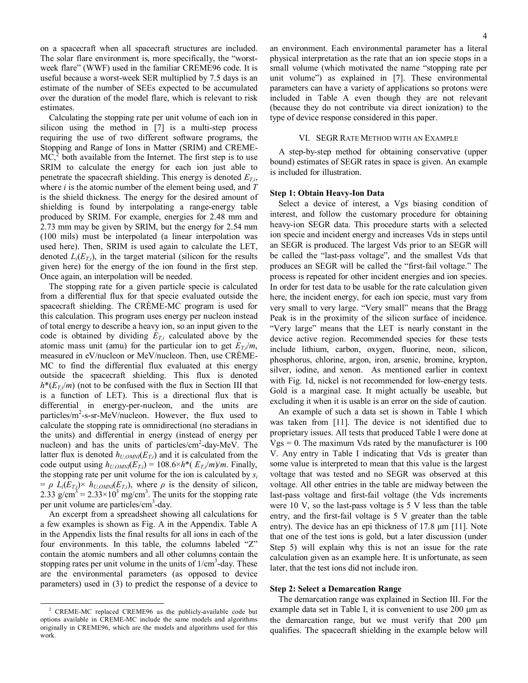on a spacecraft when all spacecraft structures are included. The solar flare environment is, more specifically, the "worstweek flare" (WWF) used in the familiar CREME96 code. It is useful because a worst-week SER multiplied by 7.5 days is an estimate of the number of SEEs expected to be accumulated over the duration of the model flare, which is relevant to risk estimates.

Calculating the stopping rate per unit volume of each ion in silicon using the method in [7] is a multi-step process requiring the use of two different software programs, the Stopping and Range of Ions in Matter (SRIM) and CREME- $MC<sub>1</sub><sup>2</sup>$  $MC<sub>1</sub><sup>2</sup>$  $MC<sub>1</sub><sup>2</sup>$  both available from the Internet. The first step is to use SRIM to calculate the energy for each ion just able to penetrate the spacecraft shielding. This energy is denoted  $E_T$ , where *i* is the atomic number of the element being used, and *T* is the shield thickness. The energy for the desired amount of shielding is found by interpolating a range-energy table produced by SRIM. For example, energies for 2.48 mm and 2.73 mm may be given by SRIM, but the energy for 2.54 mm (100 mils) must be interpolated (a linear interpolation was used here). Then, SRIM is used again to calculate the LET, denoted  $L_i(E_{T,i})$ , in the target material (silicon for the results given here) for the energy of the ion found in the first step. Once again, an interpolation will be needed.

The stopping rate for a given particle specie is calculated from a differential flux for that specie evaluated outside the spacecraft shielding. The CRÈME-MC program is used for this calculation. This program uses energy per nucleon instead of total energy to describe a heavy ion, so an input given to the code is obtained by dividing  $E_{T,i}$  calculated above by the atomic mass unit (amu) for the particular ion to get  $E_T/m$ , measured in eV/nucleon or MeV/nucleon. Then, use CRÈME-MC to find the differential flux evaluated at this energy outside the spacecraft shielding. This flux is denoted  $h^*(E_{T,i}/m)$  (not to be confused with the flux in Section III that is a function of LET). This is a directional flux that is differential in energy-per-nucleon, and the units are particles/m<sup>2</sup>-s-sr-MeV/nucleon. However, the flux used to calculate the stopping rate is omnidirectional (no steradians in the units) and differential in energy (instead of energy per nucleon) and has the units of particles/cm<sup>2</sup>-day-MeV. The latter flux is denoted  $h_{U,OMNI}(E_{T,i})$  and it is calculated from the code output using  $h_{U,OMN}(E_{T,i}) = 108.6 \times h^*(E_{T,i}/m)/m$ . Finally, the stopping rate per unit volume for the ion is calculated by  $s_i$  $= \rho L_i(E_{T,i}) \times h_{U,OMNI}(E_{T,i})$ , where  $\rho$  is the density of silicon, 2.33 g/cm<sup>3</sup> =  $2.33 \times 10^3$  mg/cm<sup>3</sup>. The units for the stopping rate per unit volume are particles/cm<sup>3</sup>-day.

An excerpt from a spreadsheet showing all calculations for a few examples is shown as Fig. A in the Appendix. Table A in the Appendix lists the final results for all ions in each of the four environments. In this table, the columns labeled "Z" contain the atomic numbers and all other columns contain the stopping rates per unit volume in the units of  $1/cm<sup>3</sup>$ -day. These are the environmental parameters (as opposed to device parameters) used in (3) to predict the response of a device to

-

an environment. Each environmental parameter has a literal physical interpretation as the rate that an ion specie stops in a small volume (which motivated the name "stopping rate per unit volume") as explained in [7]. These environmental parameters can have a variety of applications so protons were included in Table A even though they are not relevant (because they do not contribute via direct ionization) to the type of device response considered in this paper.

## VI. SEGR RATE METHOD WITH AN EXAMPLE

A step-by-step method for obtaining conservative (upper bound) estimates of SEGR rates in space is given. An example is included for illustration.

## **Step 1: Obtain Heavy-Ion Data**

 Select a device of interest, a Vgs biasing condition of interest, and follow the customary procedure for obtaining heavy-ion SEGR data. This procedure starts with a selected ion specie and incident energy and increases Vds in steps until an SEGR is produced. The largest Vds prior to an SEGR will be called the "last-pass voltage", and the smallest Vds that produces an SEGR will be called the "first-fail voltage." The process is repeated for other incident energies and ion species. In order for test data to be usable for the rate calculation given here, the incident energy, for each ion specie, must vary from very small to very large. "Very small" means that the Bragg Peak is in the proximity of the silicon surface of incidence. "Very large" means that the LET is nearly constant in the device active region. Recommended species for these tests include lithium, carbon, oxygen, fluorine, neon, silicon, phosphorus, chlorine, argon, iron, arsenic, bromine, krypton, silver, iodine, and xenon. As mentioned earlier in context with Fig. 1d, nickel is not recommended for low-energy tests. Gold is a marginal case. It might actually be useable, but excluding it when it is usable is an error on the side of caution.

 An example of such a data set is shown in Table I which was taken from [11]. The device is not identified due to proprietary issues. All tests that produced Table I were done at  $Vgs = 0$ . The maximum Vds rated by the manufacturer is 100 V. Any entry in Table I indicating that Vds is greater than some value is interpreted to mean that this value is the largest voltage that was tested and no SEGR was observed at this voltage. All other entries in the table are midway between the last-pass voltage and first-fail voltage (the Vds increments were 10 V, so the last-pass voltage is 5 V less than the table entry, and the first-fail voltage is 5 V greater than the table entry). The device has an epi thickness of 17.8 μm [11]. Note that one of the test ions is gold, but a later discussion (under Step 5) will explain why this is not an issue for the rate calculation given as an example here. It is unfortunate, as seen later, that the test ions did not include iron.

#### **Step 2: Select a Demarcation Range**

 The demarcation range was explained in Section III. For the example data set in Table I, it is convenient to use 200 μm as the demarcation range, but we must verify that 200 μm qualifies. The spacecraft shielding in the example below will

<span id="page-3-0"></span><sup>&</sup>lt;sup>2</sup> CREME-MC replaced CREME96 as the publicly-available code but options available in CREME-MC include the same models and algorithms originally in CREME96, which are the models and algorithms used for this work.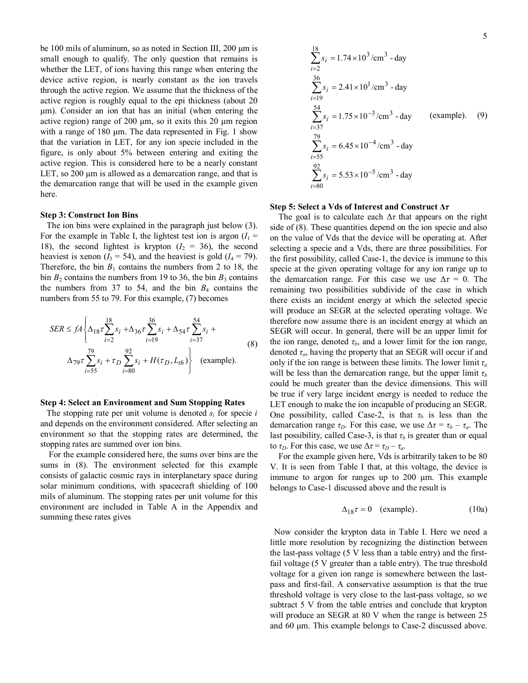be 100 mils of aluminum, so as noted in Section III, 200 μm is small enough to qualify. The only question that remains is whether the LET, of ions having this range when entering the device active region, is nearly constant as the ion travels through the active region. We assume that the thickness of the active region is roughly equal to the epi thickness (about 20 μm). Consider an ion that has an initial (when entering the active region) range of 200 μm, so it exits this 20 μm region with a range of 180 μm. The data represented in Fig. 1 show that the variation in LET, for any ion specie included in the figure, is only about 5% between entering and exiting the active region. This is considered here to be a nearly constant LET, so 200 μm is allowed as a demarcation range, and that is the demarcation range that will be used in the example given here.

## **Step 3: Construct Ion Bins**

 The ion bins were explained in the paragraph just below (3). For the example in Table I, the lightest test ion is argon  $(I_1 =$ 18), the second lightest is krypton  $(I_2 = 36)$ , the second heaviest is xenon  $(I_3 = 54)$ , and the heaviest is gold  $(I_4 = 79)$ . Therefore, the bin  $B_1$  contains the numbers from 2 to 18, the bin  $B_2$  contains the numbers from 19 to 36, the bin  $B_3$  contains the numbers from 37 to 54, and the bin  $B_4$  contains the numbers from 55 to 79. For this example, (7) becomes

$$
SER \le fA \left\{ \Delta_{18} \tau \sum_{i=2}^{18} s_i + \Delta_{36} \tau \sum_{i=19}^{36} s_i + \Delta_{54} \tau \sum_{i=37}^{54} s_i + \Delta_{79} \tau \sum_{i=55}^{79} s_i + \tau_D \sum_{i=80}^{92} s_i + H(\tau_D, L_{th}) \right\}
$$
 (example). (8)

## **Step 4: Select an Environment and Sum Stopping Rates**

The stopping rate per unit volume is denoted  $s_i$  for specie  $i$ and depends on the environment considered. After selecting an environment so that the stopping rates are determined, the stopping rates are summed over ion bins.

 For the example considered here, the sums over bins are the sums in  $(8)$ . The environment selected for this example consists of galactic cosmic rays in interplanetary space during solar minimum conditions, with spacecraft shielding of 100 mils of aluminum. The stopping rates per unit volume for this environment are included in Table A in the Appendix and summing these rates gives

$$
\sum_{i=2}^{18} s_i = 1.74 \times 10^3 / \text{cm}^3 - \text{day}
$$
  
\n
$$
\sum_{i=19}^{36} s_i = 2.41 \times 10^1 / \text{cm}^3 - \text{day}
$$
  
\n
$$
\sum_{i=37}^{54} s_i = 1.75 \times 10^{-3} / \text{cm}^3 - \text{day}
$$
 (example). (9)  
\n
$$
\sum_{i=55}^{79} s_i = 6.45 \times 10^{-4} / \text{cm}^3 - \text{day}
$$
  
\n
$$
\sum_{i=80}^{92} s_i = 5.53 \times 10^{-5} / \text{cm}^3 - \text{day}
$$

#### **Step 5: Select a Vds of Interest and Construct Δ***τ*

The goal is to calculate each  $\Delta\tau$  that appears on the right side of (8). These quantities depend on the ion specie and also on the value of Vds that the device will be operating at. After selecting a specie and a Vds, there are three possibilities. For the first possibility, called Case-1, the device is immune to this specie at the given operating voltage for any ion range up to the demarcation range. For this case we use  $\Delta \tau = 0$ . The remaining two possibilities subdivide of the case in which there exists an incident energy at which the selected specie will produce an SEGR at the selected operating voltage. We therefore now assume there is an incident energy at which an SEGR will occur. In general, there will be an upper limit for the ion range, denoted  $\tau_b$ , and a lower limit for the ion range, denoted  $\tau_a$ , having the property that an SEGR will occur if and only if the ion range is between these limits. The lower limit  $\tau_a$ will be less than the demarcation range, but the upper limit  $\tau_b$ could be much greater than the device dimensions. This will be true if very large incident energy is needed to reduce the LET enough to make the ion incapable of producing an SEGR. One possibility, called Case-2, is that  $\tau_b$  is less than the demarcation range  $\tau_D$ . For this case, we use  $\Delta \tau = \tau_b - \tau_a$ . The last possibility, called Case-3, is that  $\tau_b$  is greater than or equal to  $\tau_D$ . For this case, we use  $\Delta \tau = \tau_D - \tau_a$ .

 For the example given here, Vds is arbitrarily taken to be 80 V. It is seen from Table I that, at this voltage, the device is immune to argon for ranges up to 200 μm. This example belongs to Case-1 discussed above and the result is

$$
\Delta_{18}\tau = 0 \quad \text{(example)}.
$$
 (10a)

 Now consider the krypton data in Table I. Here we need a little more resolution by recognizing the distinction between the last-pass voltage (5 V less than a table entry) and the firstfail voltage (5 V greater than a table entry). The true threshold voltage for a given ion range is somewhere between the lastpass and first-fail. A conservative assumption is that the true threshold voltage is very close to the last-pass voltage, so we subtract 5 V from the table entries and conclude that krypton will produce an SEGR at 80 V when the range is between 25 and 60 μm. This example belongs to Case-2 discussed above.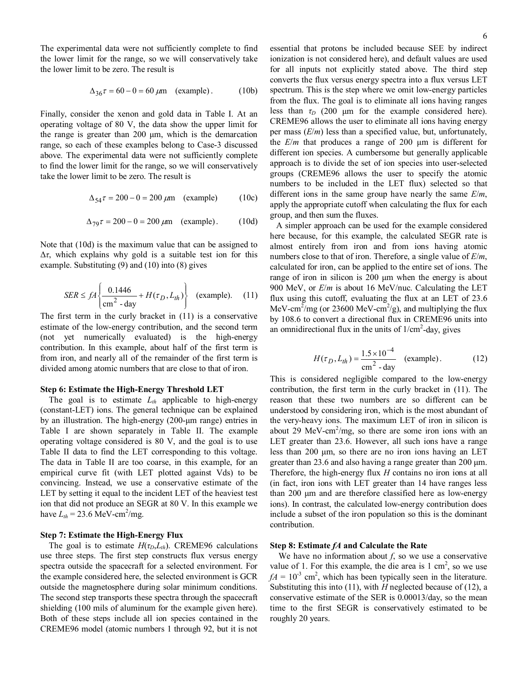The experimental data were not sufficiently complete to find the lower limit for the range, so we will conservatively take the lower limit to be zero. The result is

$$
\Delta_{36}\tau = 60 - 0 = 60 \,\mu\text{m} \quad \text{(example)}\,. \tag{10b}
$$

Finally, consider the xenon and gold data in Table I. At an operating voltage of 80 V, the data show the upper limit for the range is greater than 200 μm, which is the demarcation range, so each of these examples belong to Case-3 discussed above. The experimental data were not sufficiently complete to find the lower limit for the range, so we will conservatively take the lower limit to be zero. The result is

$$
\Delta_{54}\tau = 200 - 0 = 200 \,\mu m
$$
 (example) (10c)

$$
\Delta_{79}\tau = 200 - 0 = 200 \,\mu m
$$
 (example). (10d)

Note that (10d) is the maximum value that can be assigned to Δ*τ*, which explains why gold is a suitable test ion for this example. Substituting (9) and (10) into (8) gives

$$
SER \le fA \left\{ \frac{0.1446}{\text{cm}^2 - \text{day}} + H(\tau_D, L_{th}) \right\} \quad \text{(example)}.\tag{11}
$$

The first term in the curly bracket in (11) is a conservative estimate of the low-energy contribution, and the second term (not yet numerically evaluated) is the high-energy contribution. In this example, about half of the first term is from iron, and nearly all of the remainder of the first term is divided among atomic numbers that are close to that of iron.

## **Step 6: Estimate the High-Energy Threshold LET**

The goal is to estimate  $L_{th}$  applicable to high-energy (constant-LET) ions. The general technique can be explained by an illustration. The high-energy (200-μm range) entries in Table I are shown separately in Table II. The example operating voltage considered is 80 V, and the goal is to use Table II data to find the LET corresponding to this voltage. The data in Table II are too coarse, in this example, for an empirical curve fit (with LET plotted against Vds) to be convincing. Instead, we use a conservative estimate of the LET by setting it equal to the incident LET of the heaviest test ion that did not produce an SEGR at 80 V. In this example we have  $L_{th} = 23.6 \text{ MeV-cm}^2/\text{mg}.$ 

## **Step 7: Estimate the High-Energy Flux**

The goal is to estimate  $H(\tau_D, L_{th})$ . CREME96 calculations use three steps. The first step constructs flux versus energy spectra outside the spacecraft for a selected environment. For the example considered here, the selected environment is GCR outside the magnetosphere during solar minimum conditions. The second step transports these spectra through the spacecraft shielding (100 mils of aluminum for the example given here). Both of these steps include all ion species contained in the CREME96 model (atomic numbers 1 through 92, but it is not

spectrum. This is the step where we omit low-energy particles from the flux. The goal is to eliminate all ions having ranges less than  $\tau_D$  (200 μm for the example considered here). CREME96 allows the user to eliminate all ions having energy per mass (*E*/*m*) less than a specified value, but, unfortunately, the *E*/*m* that produces a range of 200 μm is different for different ion species. A cumbersome but generally applicable approach is to divide the set of ion species into user-selected groups (CREME96 allows the user to specify the atomic numbers to be included in the LET flux) selected so that different ions in the same group have nearly the same *E*/*m*, apply the appropriate cutoff when calculating the flux for each group, and then sum the fluxes.

 A simpler approach can be used for the example considered here because, for this example, the calculated SEGR rate is almost entirely from iron and from ions having atomic numbers close to that of iron. Therefore, a single value of *E*/*m*, calculated for iron, can be applied to the entire set of ions. The range of iron in silicon is 200 μm when the energy is about 900 MeV, or *E*/*m* is about 16 MeV/nuc. Calculating the LET flux using this cutoff, evaluating the flux at an LET of 23.6 MeV-cm<sup>2</sup>/mg (or 23600 MeV-cm<sup>2</sup>/g), and multiplying the flux by 108.6 to convert a directional flux in CREME96 units into an omnidirectional flux in the units of  $1/cm<sup>2</sup>$ -day, gives

$$
H(\tau_D, L_{th}) = \frac{1.5 \times 10^{-4}}{\text{cm}^2 \cdot \text{day}} \quad \text{(example)}.
$$
 (12)

This is considered negligible compared to the low-energy contribution, the first term in the curly bracket in (11). The reason that these two numbers are so different can be understood by considering iron, which is the most abundant of the very-heavy ions. The maximum LET of iron in silicon is about 29 MeV-cm<sup>2</sup>/mg, so there are some iron ions with an LET greater than 23.6. However, all such ions have a range less than 200 μm, so there are no iron ions having an LET greater than 23.6 and also having a range greater than 200 μm. Therefore, the high-energy flux *H* contains no iron ions at all (in fact, iron ions with LET greater than 14 have ranges less than 200 μm and are therefore classified here as low-energy ions). In contrast, the calculated low-energy contribution does include a subset of the iron population so this is the dominant contribution.

## **Step 8: Estimate** *fA* **and Calculate the Rate**

 We have no information about *f*, so we use a conservative value of 1. For this example, the die area is  $1 \text{ cm}^2$ , so we use  $fA = 10^{-3}$  cm<sup>2</sup>, which has been typically seen in the literature. Substituting this into (11), with *H* neglected because of (12), a conservative estimate of the SER is 0.00013/day, so the mean time to the first SEGR is conservatively estimated to be roughly 20 years.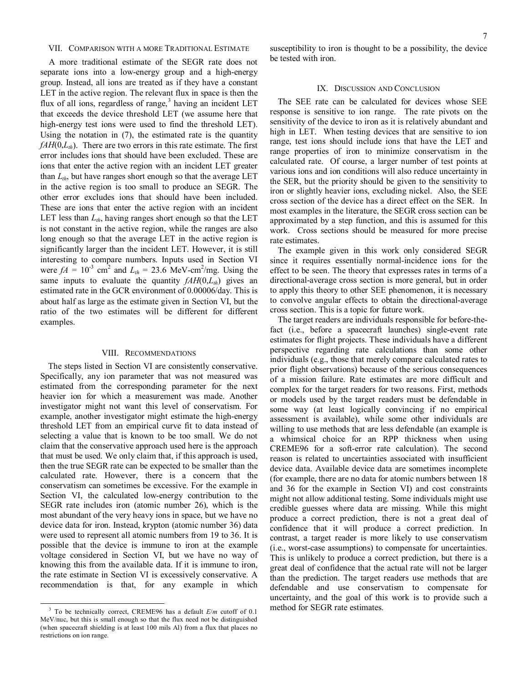## VII. COMPARISON WITH A MORE TRADITIONAL ESTIMATE

 A more traditional estimate of the SEGR rate does not separate ions into a low-energy group and a high-energy group. Instead, all ions are treated as if they have a constant LET in the active region. The relevant flux in space is then the flux of all ions, regardless of range,<sup>[3](#page-6-0)</sup> having an incident LET that exceeds the device threshold LET (we assume here that high-energy test ions were used to find the threshold LET). Using the notation in (7), the estimated rate is the quantity  $fAH(0,L<sub>th</sub>)$ . There are two errors in this rate estimate. The first error includes ions that should have been excluded. These are ions that enter the active region with an incident LET greater than  $L_{th}$ , but have ranges short enough so that the average LET in the active region is too small to produce an SEGR. The other error excludes ions that should have been included. These are ions that enter the active region with an incident LET less than  $L_{th}$ , having ranges short enough so that the LET is not constant in the active region, while the ranges are also long enough so that the average LET in the active region is significantly larger than the incident LET. However, it is still interesting to compare numbers. Inputs used in Section VI were  $fA = 10^{-3}$  cm<sup>2</sup> and  $L_{th} = 23.6$  MeV-cm<sup>2</sup>/mg. Using the same inputs to evaluate the quantity  $fAH(0,L<sub>th</sub>)$  gives an estimated rate in the GCR environment of 0.00006/day. This is about half as large as the estimate given in Section VI, but the ratio of the two estimates will be different for different examples.

#### VIII. RECOMMENDATIONS

The steps listed in Section VI are consistently conservative. Specifically, any ion parameter that was not measured was estimated from the corresponding parameter for the next heavier ion for which a measurement was made. Another investigator might not want this level of conservatism. For example, another investigator might estimate the high-energy threshold LET from an empirical curve fit to data instead of selecting a value that is known to be too small. We do not claim that the conservative approach used here is the approach that must be used. We only claim that, if this approach is used, then the true SEGR rate can be expected to be smaller than the calculated rate. However, there is a concern that the conservatism can sometimes be excessive. For the example in Section VI, the calculated low-energy contribution to the SEGR rate includes iron (atomic number 26), which is the most abundant of the very heavy ions in space, but we have no device data for iron. Instead, krypton (atomic number 36) data were used to represent all atomic numbers from 19 to 36. It is possible that the device is immune to iron at the example voltage considered in Section VI, but we have no way of knowing this from the available data. If it is immune to iron, the rate estimate in Section VI is excessively conservative. A recommendation is that, for any example in which susceptibility to iron is thought to be a possibility, the device be tested with iron.

#### IX. DISCUSSION AND CONCLUSION

The SEE rate can be calculated for devices whose SEE response is sensitive to ion range. The rate pivots on the sensitivity of the device to iron as it is relatively abundant and high in LET. When testing devices that are sensitive to ion range, test ions should include ions that have the LET and range properties of iron to minimize conservatism in the calculated rate. Of course, a larger number of test points at various ions and ion conditions will also reduce uncertainty in the SER, but the priority should be given to the sensitivity to iron or slightly heavier ions, excluding nickel. Also, the SEE cross section of the device has a direct effect on the SER. In most examples in the literature, the SEGR cross section can be approximated by a step function, and this is assumed for this work. Cross sections should be measured for more precise rate estimates.

The example given in this work only considered SEGR since it requires essentially normal-incidence ions for the effect to be seen. The theory that expresses rates in terms of a directional-average cross section is more general, but in order to apply this theory to other SEE phenomenon, it is necessary to convolve angular effects to obtain the directional-average cross section. This is a topic for future work.

The target readers are individuals responsible for before-thefact (i.e., before a spacecraft launches) single-event rate estimates for flight projects. These individuals have a different perspective regarding rate calculations than some other individuals (e.g., those that merely compare calculated rates to prior flight observations) because of the serious consequences of a mission failure. Rate estimates are more difficult and complex for the target readers for two reasons. First, methods or models used by the target readers must be defendable in some way (at least logically convincing if no empirical assessment is available), while some other individuals are willing to use methods that are less defendable (an example is a whimsical choice for an RPP thickness when using CREME96 for a soft-error rate calculation). The second reason is related to uncertainties associated with insufficient device data. Available device data are sometimes incomplete (for example, there are no data for atomic numbers between 18 and 36 for the example in Section VI) and cost constraints might not allow additional testing. Some individuals might use credible guesses where data are missing. While this might produce a correct prediction, there is not a great deal of confidence that it will produce a correct prediction. In contrast, a target reader is more likely to use conservatism (i.e., worst-case assumptions) to compensate for uncertainties. This is unlikely to produce a correct prediction, but there is a great deal of confidence that the actual rate will not be larger than the prediction. The target readers use methods that are defendable and use conservatism to compensate for uncertainty, and the goal of this work is to provide such a method for SEGR rate estimates.

<span id="page-6-0"></span><sup>3</sup> To be technically correct, CREME96 has a default *E*/*m* cutoff of 0.1 MeV/nuc, but this is small enough so that the flux need not be distinguished (when spacecraft shielding is at least 100 mils Al) from a flux that places no restrictions on ion range.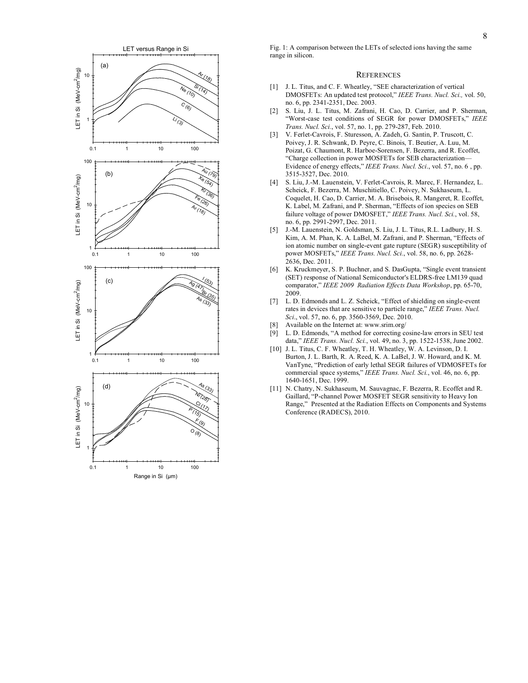

Fig. 1: A comparison between the LETs of selected ions having the same range in silicon.

#### **REFERENCES**

- [1] J. L. Titus, and C. F. Wheatley, "SEE characterization of vertical DMOSFETs: An updated test protocol," *IEEE Trans. Nucl. Sci.,* vol. 50, no. 6, pp. 2341-2351, Dec. 2003.
- [2] S. Liu, J. L. Titus, M. Zafrani, H. Cao, D. Carrier, and P. Sherman, "Worst-case test conditions of SEGR for power DMOSFETs," *IEEE Trans. Nucl. Sci.*, vol. 57, no. 1, pp. 279-287, Feb. 2010.
- [3] V. Ferlet-Cavrois, F. Sturesson, A. Zadeh, G. Santin, P. Truscott, C. Poivey, J. R. Schwank, D. Peyre, C. Binois, T. Beutier, A. Luu, M. Poizat, G. Chaumont, R. Harboe-Sorensen, F. Bezerra, and R. Ecoffet, "Charge collection in power MOSFETs for SEB characterization— Evidence of energy effects," *IEEE Trans. Nucl. Sci*., vol. 57, no. 6 , pp. 3515-3527, Dec. 2010.
- [4] S. Liu, J.-M. Lauenstein, V. Ferlet-Cavrois, R. Marec, F. Hernandez, L. Scheick, F. Bezerra, M. Muschitiello, C. Poivey, N. Sukhaseum, L. Coquelet, H. Cao, D. Carrier, M. A. Brisebois, R. Mangeret, R. Ecoffet, K. Label, M. Zafrani, and P. Sherman, "Effects of ion species on SEB failure voltage of power DMOSFET," *IEEE Trans. Nucl. Sci.*, vol. 58, no. 6, pp. 2991-2997, Dec. 2011.
- [5] J.-M. Lauenstein, N. Goldsman, S. Liu, J. L. Titus, R.L. Ladbury, H. S. Kim, A. M. Phan, K. A. LaBel, M. Zafrani, and P. Sherman, "Effects of ion atomic number on single-event gate rupture (SEGR) susceptibility of power MOSFETs," *IEEE Trans. Nucl. Sci.*, vol. 58, no. 6, pp. 2628- 2636, Dec. 2011.
- [6] K. Kruckmeyer, S. P. Buchner, and S. DasGupta, "Single event transient (SET) response of National Semiconductor's ELDRS-free LM139 quad comparator," *IEEE 2009 Radiation Effects Data Workshop*, pp. 65-70, 2009.
- [7] L. D. Edmonds and L. Z. Scheick, "Effect of shielding on single-event rates in devices that are sensitive to particle range," *IEEE Trans. Nucl. Sci*., vol. 57, no. 6, pp. 3560-3569, Dec. 2010.
- Available on the Internet at: www.srim.org/
- [9] L. D. Edmonds, "A method for correcting cosine-law errors in SEU test data," *IEEE Trans. Nucl. Sci.*, vol. 49, no. 3, pp. 1522-1538, June 2002.
- [10] J. L. Titus, C. F. Wheatley, T. H. Wheatley, W. A. Levinson, D. I. Burton, J. L. Barth, R. A. Reed, K. A. LaBel, J. W. Howard, and K. M. VanTyne, "Prediction of early lethal SEGR failures of VDMOSFETs for commercial space systems," *IEEE Trans. Nucl. Sci.*, vol. 46, no. 6, pp. 1640-1651, Dec. 1999.
- [11] N. Chatry, N. Sukhaseum, M. Sauvagnac, F. Bezerra, R. Ecoffet and R. Gaillard, "P-channel Power MOSFET SEGR sensitivity to Heavy Ion Range," Presented at the Radiation Effects on Components and Systems Conference (RADECS), 2010.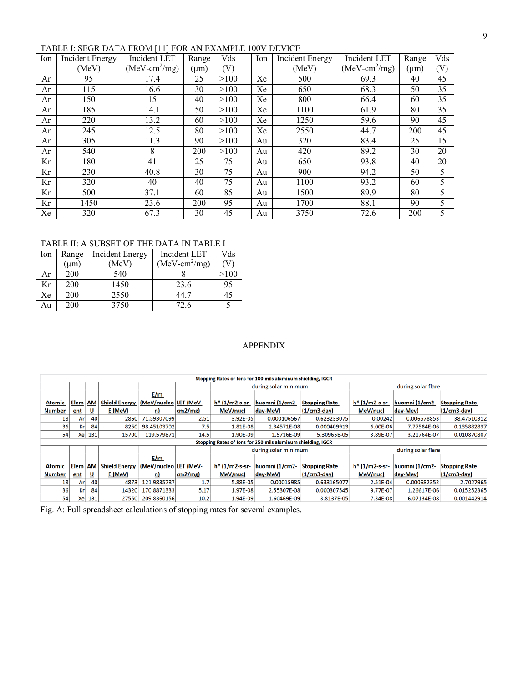# TABLE I: SEGR DATA FROM [11] FOR AN EXAMPLE 100V DEVICE

| Ion | <b>Incident Energy</b> | Incident LET    | Range     | Vds  | Ion | Incident Energy | Incident LET    | Range | Vds |
|-----|------------------------|-----------------|-----------|------|-----|-----------------|-----------------|-------|-----|
|     | (MeV)                  | $(MeV-cm^2/mg)$ | $(\mu m)$ | V)   |     | (MeV)           | $(MeV-cm^2/mg)$ | (µm)  | (V) |
| Ar  | 95                     | 17.4            | 25        | >100 | Xe  | 500             | 69.3            | 40    | 45  |
| Ar  | 115                    | 16.6            | 30        | >100 | Xe  | 650             | 68.3            | 50    | 35  |
| Ar  | 150                    | 15              | 40        | >100 | Xe  | 800             | 66.4            | 60    | 35  |
| Ar  | 185                    | 14.1            | 50        | >100 | Xe  | 1100            | 61.9            | 80    | 35  |
| Ar  | 220                    | 13.2            | 60        | >100 | Xe  | 1250            | 59.6            | 90    | 45  |
| Ar  | 245                    | 12.5            | 80        | >100 | Xe  | 2550            | 44.7            | 200   | 45  |
| Ar  | 305                    | 11.3            | 90        | >100 | Au  | 320             | 83.4            | 25    | 15  |
| Ar  | 540                    | 8               | 200       | >100 | Au  | 420             | 89.2            | 30    | 20  |
| Kr  | 180                    | 41              | 25        | 75   | Au  | 650             | 93.8            | 40    | 20  |
| Kr  | 230                    | 40.8            | 30        | 75   | Au  | 900             | 94.2            | 50    | 5   |
| Kr  | 320                    | 40              | 40        | 75   | Au  | 1100            | 93.2            | 60    | 5   |
| Kr  | 500                    | 37.1            | 60        | 85   | Au  | 1500            | 89.9            | 80    | 5   |
| Kr  | 1450                   | 23.6            | 200       | 95   | Au  | 1700            | 88.1            | 90    | 5   |
| Xe  | 320                    | 67.3            | 30        | 45   | Au  | 3750            | 72.6            | 200   | 5   |

TABLE II: A SUBSET OF THE DATA IN TABLE I

| lon | Range     | <b>Incident Energy</b> | Incident LET    | Vds  |
|-----|-----------|------------------------|-----------------|------|
|     | $(\mu m)$ | (MeV)                  | $(MeV-cm^2/mg)$ |      |
| Ar  | 200       | 540                    |                 | >100 |
| Kr  | 200       | 1450                   | 23.6            | 95   |
| Xe  | 200       | 2550                   | 44.7            | 45   |
| Au  | 200       | 3750                   | 72.6            |      |

## APPENDIX

| Stopping Rates of lons for 100 mils aluminum shielding, IGCR |                                                              |           |                      |                       |        |                |                      |                      |                    |                    |                      |  |
|--------------------------------------------------------------|--------------------------------------------------------------|-----------|----------------------|-----------------------|--------|----------------|----------------------|----------------------|--------------------|--------------------|----------------------|--|
|                                                              |                                                              |           |                      |                       |        |                | during solar minimum |                      | during solar flare |                    |                      |  |
|                                                              |                                                              |           |                      | E/m                   |        |                |                      |                      |                    |                    |                      |  |
| Atomic                                                       | Elem                                                         | <b>AM</b> | <b>Shield Energy</b> | (MeV/nucleo LET (MeV- |        | h* (1/m2-s-sr- | huomni (1/cm2-       | <b>Stopping Rate</b> | $h*$ (1/m2-s-sr-   | huomni (1/cm2-     | <b>Stopping Rate</b> |  |
| Number                                                       | ent                                                          | ⊻         | E (MeV)              | n                     | cm2/mg | MeV/nuc)       | day-MeV)             | $(1/cm3$ -day)       | MeV/nuc)           | day-Mev)           | $(1/cm3$ -day)       |  |
| 18                                                           | Ar                                                           | 40        | 2860                 | 71.59307099           | 2.51   | 3.92E-05       | 0.000106567          | 0.623233075          | 0.00242            | 0.006578853        | 38.47510312          |  |
| 36                                                           | Кr                                                           | 84        | 8250                 | 98.45103702           | 7.5    | 1.81E-08       | 2.34571E-08          | 0.000409913          | 6.00E-06           | 7.77584E-06        | 0.135882837          |  |
| 54                                                           | Xel                                                          | 131       | 15700                | 119.579871            | 14.5   | 1.90E-09       | 1.5716E-09           | 5.30965E-05          | 3.89E-07           | 3.21764E-07        | 0.010870807          |  |
|                                                              | Stopping Rates of Ions for 250 mils aluminum shielding, IGCR |           |                      |                       |        |                |                      |                      |                    |                    |                      |  |
|                                                              |                                                              |           |                      |                       |        |                | during solar minimum |                      |                    | during solar flare |                      |  |
|                                                              |                                                              |           |                      | E/m                   |        |                |                      |                      |                    |                    |                      |  |
| <b>Atomic</b>                                                | Elem                                                         | <b>AM</b> | <b>Shield Energy</b> | (MeV/nucleo LET (MeV- |        | h* (1/m2-s-sr- | huomni (1/cm2-       | <b>Stopping Rate</b> | h* (1/m2-s-sr-     | huomni (1/cm2-     | <b>Stopping Rate</b> |  |
| <b>Number</b>                                                | ent                                                          | <u>ប</u>  | E (MeV)              | n)                    | cm2/mg | MeV/nuc)       | day-MeV)             | $(1/cm3$ -day)       | MeV/nuc)           | day-Mev)           | $(1/cm3$ -day        |  |
| 18                                                           | Ar                                                           | 40        | 4873                 | 121.9835787           | 1.7    | 5.88E-05       | 0.00015985           | 0.633165077          | 2.51E-04           | 0.000682352        | 2.7027965            |  |
| 36                                                           | Кr                                                           | 84        | 14320                | 170.8871333           | 5.17   | 1.97E-08       | 2.55307E-08          | 0.000307545          | 9.77E-07           | 1.26617E-06        | 0.015252365          |  |
| 54                                                           | Xel                                                          | 131       | 27550                | 209.8360156           | 10.2   | 1.94E-09       | 1.60469E-09          | 3.8137E-05           | 7.34E-08           | 6.07134E-08        | 0.001442914          |  |

Fig. A: Full spreadsheet calculations of stopping rates for several examples.